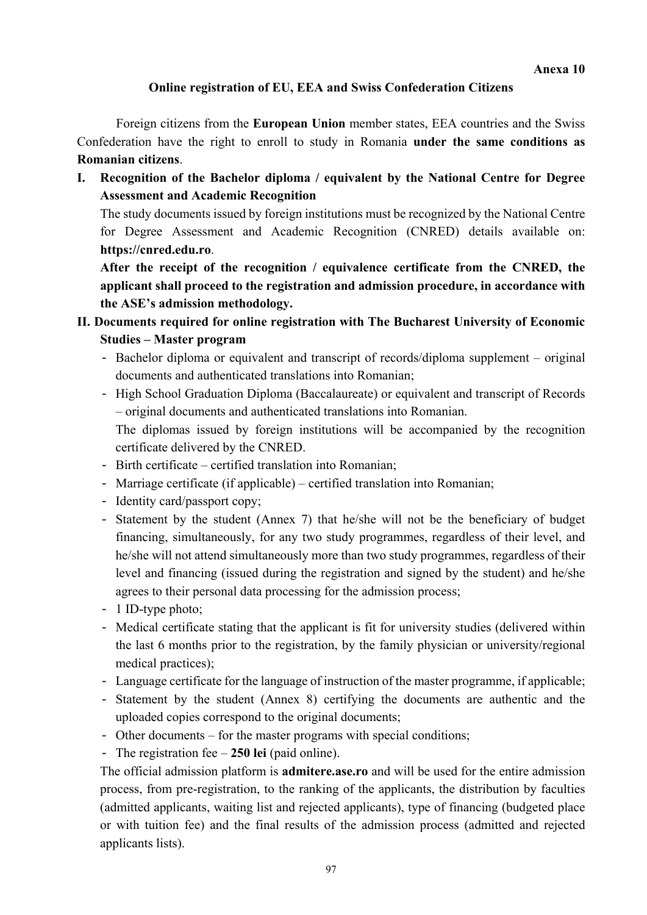#### **Online registration of EU, EEA and Swiss Confederation Citizens**

Foreign citizens from the **European Union** member states, EEA countries and the Swiss Confederation have the right to enroll to study in Romania **under the same conditions as Romanian citizens**.

**I. Recognition of the Bachelor diploma / equivalent by the National Centre for Degree Assessment and Academic Recognition** 

The study documents issued by foreign institutions must be recognized by the National Centre for Degree Assessment and Academic Recognition (CNRED) details available on: **https://cnred.edu.ro**.

**After the receipt of the recognition / equivalence certificate from the CNRED, the applicant shall proceed to the registration and admission procedure, in accordance with the ASE's admission methodology.** 

- **II. Documents required for online registration with The Bucharest University of Economic Studies – Master program** 
	- Bachelor diploma or equivalent and transcript of records/diploma supplement original documents and authenticated translations into Romanian;
	- High School Graduation Diploma (Baccalaureate) or equivalent and transcript of Records – original documents and authenticated translations into Romanian.

The diplomas issued by foreign institutions will be accompanied by the recognition certificate delivered by the CNRED.

- Birth certificate certified translation into Romanian;
- Marriage certificate (if applicable) certified translation into Romanian;
- Identity card/passport copy;
- Statement by the student (Annex 7) that he/she will not be the beneficiary of budget financing, simultaneously, for any two study programmes, regardless of their level, and he/she will not attend simultaneously more than two study programmes, regardless of their level and financing (issued during the registration and signed by the student) and he/she agrees to their personal data processing for the admission process;
- 1 ID-type photo;
- Medical certificate stating that the applicant is fit for university studies (delivered within the last 6 months prior to the registration, by the family physician or university/regional medical practices);
- Language certificate for the language of instruction of the master programme, if applicable;
- Statement by the student (Annex 8) certifying the documents are authentic and the uploaded copies correspond to the original documents;
- Other documents for the master programs with special conditions;
- The registration fee **250 lei** (paid online).

The official admission platform is **admitere.ase.ro** and will be used for the entire admission process, from pre-registration, to the ranking of the applicants, the distribution by faculties (admitted applicants, waiting list and rejected applicants), type of financing (budgeted place or with tuition fee) and the final results of the admission process (admitted and rejected applicants lists).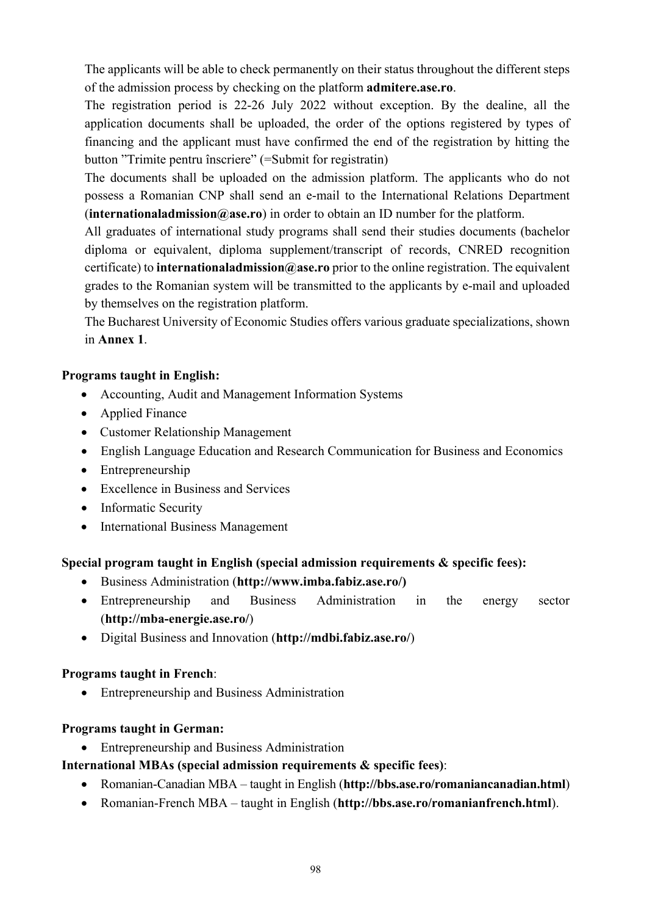The applicants will be able to check permanently on their status throughout the different steps of the admission process by checking on the platform **admitere.ase.ro**.

The registration period is 22-26 July 2022 without exception. By the dealine, all the application documents shall be uploaded, the order of the options registered by types of financing and the applicant must have confirmed the end of the registration by hitting the button "Trimite pentru înscriere" (=Submit for registratin)

The documents shall be uploaded on the admission platform. The applicants who do not possess a Romanian CNP shall send an e-mail to the International Relations Department (**internationaladmission@ase.ro**) in order to obtain an ID number for the platform.

All graduates of international study programs shall send their studies documents (bachelor diploma or equivalent, diploma supplement/transcript of records, CNRED recognition certificate) to **internationaladmission@ase.ro** prior to the online registration. The equivalent grades to the Romanian system will be transmitted to the applicants by e-mail and uploaded by themselves on the registration platform.

The Bucharest University of Economic Studies offers various graduate specializations, shown in **Annex 1**.

### **Programs taught in English:**

- Accounting, Audit and Management Information Systems
- Applied Finance
- Customer Relationship Management
- English Language Education and Research Communication for Business and Economics
- Entrepreneurship
- Excellence in Business and Services
- Informatic Security
- International Business Management

### **Special program taught in English (special admission requirements & specific fees):**

- Business Administration (**http://www.imba.fabiz.ase.ro/)**
- Entrepreneurship and Business Administration in the energy sector (**http://mba-energie.ase.ro/**)
- Digital Business and Innovation (**http://mdbi.fabiz.ase.ro/**)

### **Programs taught in French**:

• Entrepreneurship and Business Administration

### **Programs taught in German:**

• Entrepreneurship and Business Administration

### **International MBAs (special admission requirements & specific fees)**:

- Romanian-Canadian MBA taught in English (**http://bbs.ase.ro/romaniancanadian.html**)
- Romanian-French MBA taught in English (**http://bbs.ase.ro/romanianfrench.html**).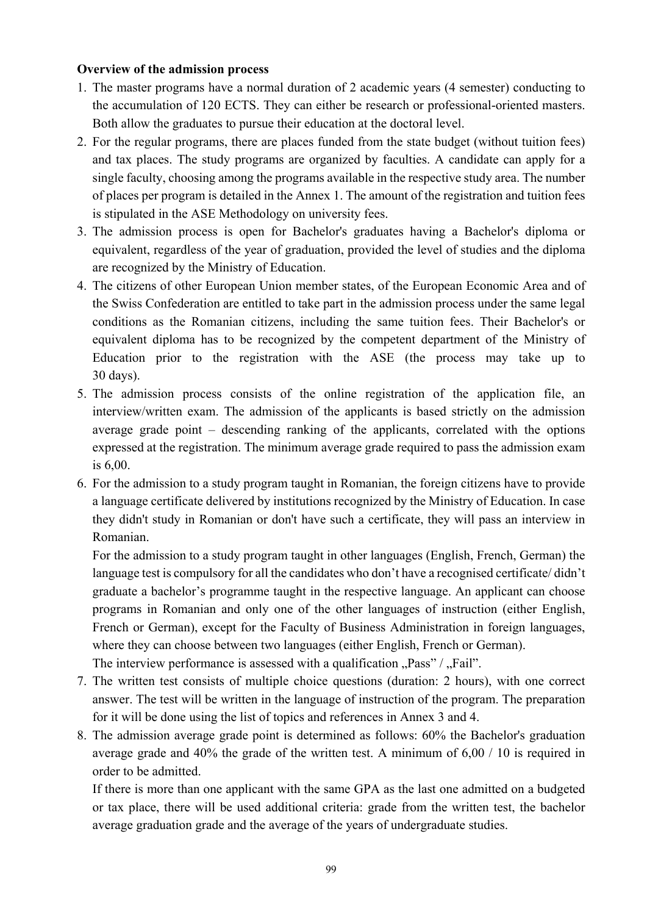#### **Overview of the admission process**

- 1. The master programs have a normal duration of 2 academic years (4 semester) conducting to the accumulation of 120 ECTS. They can either be research or professional-oriented masters. Both allow the graduates to pursue their education at the doctoral level.
- 2. For the regular programs, there are places funded from the state budget (without tuition fees) and tax places. The study programs are organized by faculties. A candidate can apply for a single faculty, choosing among the programs available in the respective study area. The number of places per program is detailed in the Annex 1. The amount of the registration and tuition fees is stipulated in the ASE Methodology on university fees.
- 3. The admission process is open for Bachelor's graduates having a Bachelor's diploma or equivalent, regardless of the year of graduation, provided the level of studies and the diploma are recognized by the Ministry of Education.
- 4. The citizens of other European Union member states, of the European Economic Area and of the Swiss Confederation are entitled to take part in the admission process under the same legal conditions as the Romanian citizens, including the same tuition fees. Their Bachelor's or equivalent diploma has to be recognized by the competent department of the Ministry of Education prior to the registration with the ASE (the process may take up to 30 days).
- 5. The admission process consists of the online registration of the application file, an interview/written exam. The admission of the applicants is based strictly on the admission average grade point – descending ranking of the applicants, correlated with the options expressed at the registration. The minimum average grade required to pass the admission exam is 6,00.
- 6. For the admission to a study program taught in Romanian, the foreign citizens have to provide a language certificate delivered by institutions recognized by the Ministry of Education. In case they didn't study in Romanian or don't have such a certificate, they will pass an interview in Romanian.

 For the admission to a study program taught in other languages (English, French, German) the language test is compulsory for all the candidates who don't have a recognised certificate/ didn't graduate a bachelor's programme taught in the respective language. An applicant can choose programs in Romanian and only one of the other languages of instruction (either English, French or German), except for the Faculty of Business Administration in foreign languages, where they can choose between two languages (either English, French or German). The interview performance is assessed with a qualification  $Pass''/Psi''$ . Fail".

- 7. The written test consists of multiple choice questions (duration: 2 hours), with one correct answer. The test will be written in the language of instruction of the program. The preparation for it will be done using the list of topics and references in Annex 3 and 4.
- 8. The admission average grade point is determined as follows: 60% the Bachelor's graduation average grade and 40% the grade of the written test. A minimum of 6,00 / 10 is required in order to be admitted.

If there is more than one applicant with the same GPA as the last one admitted on a budgeted or tax place, there will be used additional criteria: grade from the written test, the bachelor average graduation grade and the average of the years of undergraduate studies.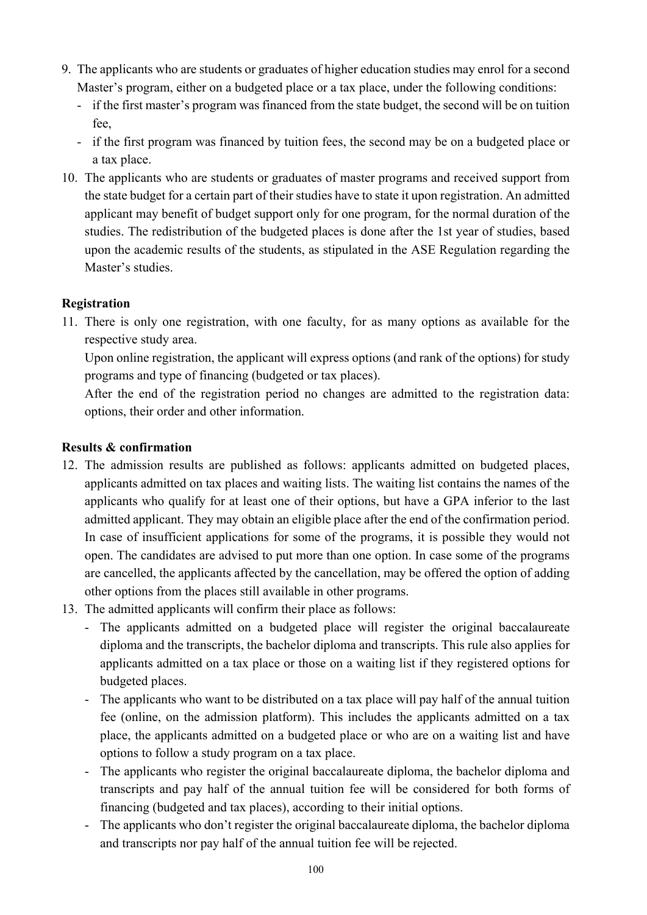- 9. The applicants who are students or graduates of higher education studies may enrol for a second Master's program, either on a budgeted place or a tax place, under the following conditions:
	- if the first master's program was financed from the state budget, the second will be on tuition fee,
	- if the first program was financed by tuition fees, the second may be on a budgeted place or a tax place.
- 10. The applicants who are students or graduates of master programs and received support from the state budget for a certain part of their studies have to state it upon registration. An admitted applicant may benefit of budget support only for one program, for the normal duration of the studies. The redistribution of the budgeted places is done after the 1st year of studies, based upon the academic results of the students, as stipulated in the ASE Regulation regarding the Master's studies.

### **Registration**

11. There is only one registration, with one faculty, for as many options as available for the respective study area.

Upon online registration, the applicant will express options (and rank of the options) for study programs and type of financing (budgeted or tax places).

After the end of the registration period no changes are admitted to the registration data: options, their order and other information.

#### **Results & confirmation**

- 12. The admission results are published as follows: applicants admitted on budgeted places, applicants admitted on tax places and waiting lists. The waiting list contains the names of the applicants who qualify for at least one of their options, but have a GPA inferior to the last admitted applicant. They may obtain an eligible place after the end of the confirmation period. In case of insufficient applications for some of the programs, it is possible they would not open. The candidates are advised to put more than one option. In case some of the programs are cancelled, the applicants affected by the cancellation, may be offered the option of adding other options from the places still available in other programs.
- 13. The admitted applicants will confirm their place as follows:
	- The applicants admitted on a budgeted place will register the original baccalaureate diploma and the transcripts, the bachelor diploma and transcripts. This rule also applies for applicants admitted on a tax place or those on a waiting list if they registered options for budgeted places.
	- The applicants who want to be distributed on a tax place will pay half of the annual tuition fee (online, on the admission platform). This includes the applicants admitted on a tax place, the applicants admitted on a budgeted place or who are on a waiting list and have options to follow a study program on a tax place.
	- The applicants who register the original baccalaureate diploma, the bachelor diploma and transcripts and pay half of the annual tuition fee will be considered for both forms of financing (budgeted and tax places), according to their initial options.
	- The applicants who don't register the original baccalaureate diploma, the bachelor diploma and transcripts nor pay half of the annual tuition fee will be rejected.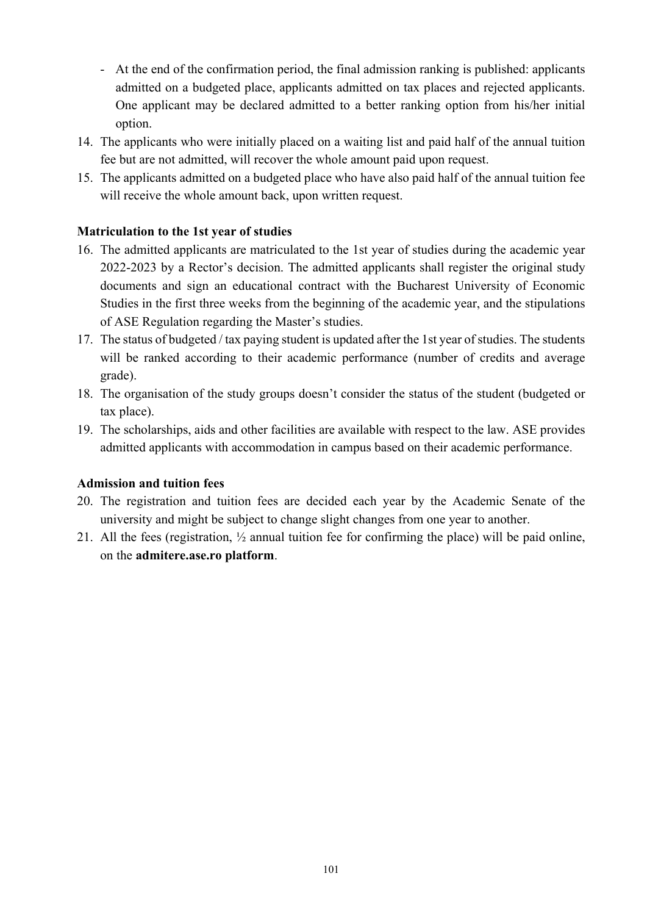- At the end of the confirmation period, the final admission ranking is published: applicants admitted on a budgeted place, applicants admitted on tax places and rejected applicants. One applicant may be declared admitted to a better ranking option from his/her initial option.
- 14. The applicants who were initially placed on a waiting list and paid half of the annual tuition fee but are not admitted, will recover the whole amount paid upon request.
- 15. The applicants admitted on a budgeted place who have also paid half of the annual tuition fee will receive the whole amount back, upon written request.

### **Matriculation to the 1st year of studies**

- 16. The admitted applicants are matriculated to the 1st year of studies during the academic year 2022-2023 by a Rector's decision. The admitted applicants shall register the original study documents and sign an educational contract with the Bucharest University of Economic Studies in the first three weeks from the beginning of the academic year, and the stipulations of ASE Regulation regarding the Master's studies.
- 17. The status of budgeted / tax paying student is updated after the 1st year of studies. The students will be ranked according to their academic performance (number of credits and average grade).
- 18. The organisation of the study groups doesn't consider the status of the student (budgeted or tax place).
- 19. The scholarships, aids and other facilities are available with respect to the law. ASE provides admitted applicants with accommodation in campus based on their academic performance.

#### **Admission and tuition fees**

- 20. The registration and tuition fees are decided each year by the Academic Senate of the university and might be subject to change slight changes from one year to another.
- 21. All the fees (registration, ½ annual tuition fee for confirming the place) will be paid online, on the **admitere.ase.ro platform**.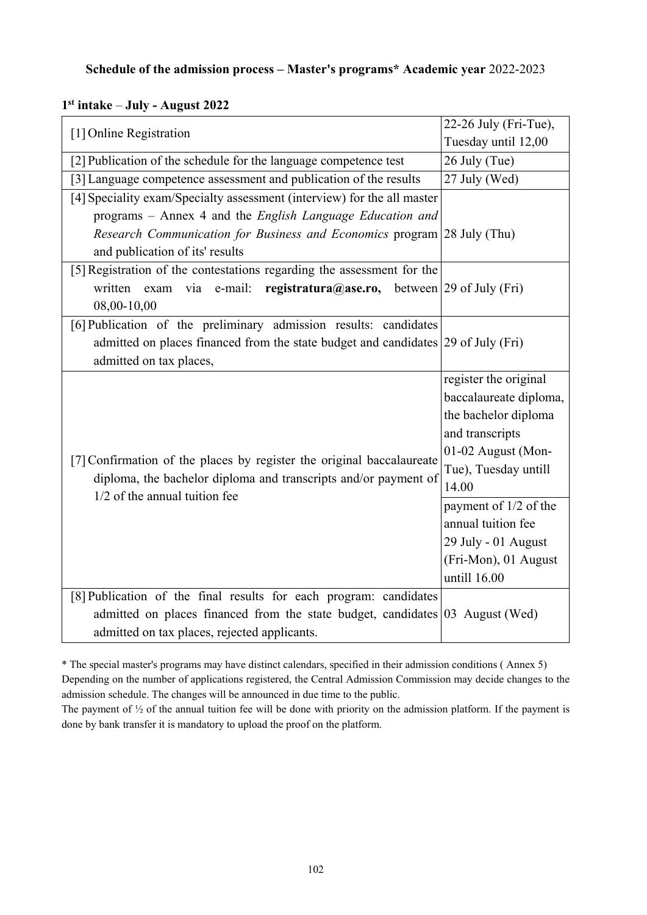#### **Schedule of the admission process – Master's programs\* Academic year** 2022-2023

| [1] Online Registration                                                                                                                                                   | 22-26 July (Fri-Tue),  |
|---------------------------------------------------------------------------------------------------------------------------------------------------------------------------|------------------------|
|                                                                                                                                                                           | Tuesday until 12,00    |
| [2] Publication of the schedule for the language competence test                                                                                                          | 26 July (Tue)          |
| [3] Language competence assessment and publication of the results                                                                                                         | 27 July (Wed)          |
| [4] Speciality exam/Specialty assessment (interview) for the all master                                                                                                   |                        |
| programs – Annex 4 and the English Language Education and                                                                                                                 |                        |
| <i>Research Communication for Business and Economics program</i> 28 July (Thu)                                                                                            |                        |
| and publication of its' results                                                                                                                                           |                        |
| [5] Registration of the contestations regarding the assessment for the                                                                                                    |                        |
| written<br>e-mail:<br><b>registratura@ase.ro,</b> between 29 of July (Fri)<br>exam<br>via                                                                                 |                        |
| 08,00-10,00                                                                                                                                                               |                        |
| [6] Publication of the preliminary admission results: candidates                                                                                                          |                        |
| admitted on places financed from the state budget and candidates 29 of July (Fri)                                                                                         |                        |
| admitted on tax places,                                                                                                                                                   |                        |
| [7] Confirmation of the places by register the original baccalaureate<br>diploma, the bachelor diploma and transcripts and/or payment of<br>1/2 of the annual tuition fee | register the original  |
|                                                                                                                                                                           | baccalaureate diploma, |
|                                                                                                                                                                           | the bachelor diploma   |
|                                                                                                                                                                           | and transcripts        |
|                                                                                                                                                                           | 01-02 August (Mon-     |
|                                                                                                                                                                           | Tue), Tuesday untill   |
|                                                                                                                                                                           | 14.00                  |
|                                                                                                                                                                           | payment of 1/2 of the  |
|                                                                                                                                                                           | annual tuition fee     |
|                                                                                                                                                                           | 29 July - 01 August    |
|                                                                                                                                                                           | (Fri-Mon), 01 August   |
|                                                                                                                                                                           | untill 16.00           |
| [8] Publication of the final results for each program: candidates                                                                                                         |                        |
| admitted on places financed from the state budget, candidates $ 03 \text{ August}$ (Wed)                                                                                  |                        |
| admitted on tax places, rejected applicants.                                                                                                                              |                        |

## **1st intake** ‒ **July - August 2022**

\* The special master's programs may have distinct calendars, specified in their admission conditions ( Annex 5) Depending on the number of applications registered, the Central Admission Commission may decide changes to the admission schedule. The changes will be announced in due time to the public.

The payment of ½ of the annual tuition fee will be done with priority on the admission platform. If the payment is done by bank transfer it is mandatory to upload the proof on the platform.